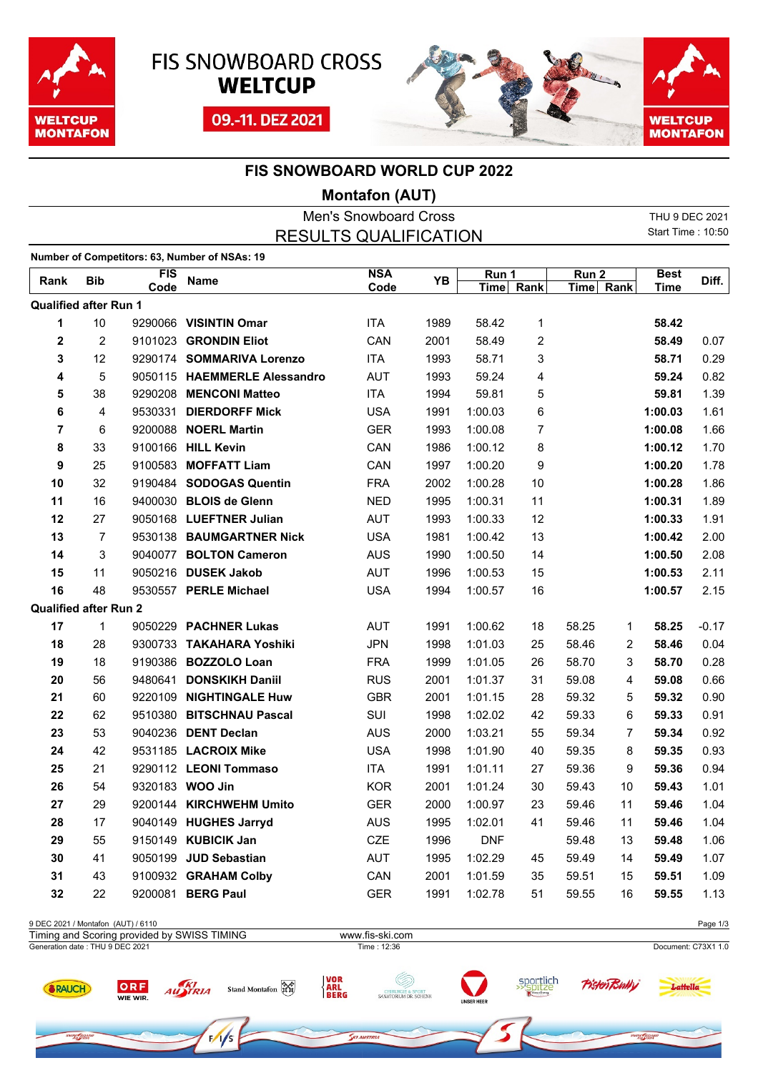

ow Google



09.-11. DEZ 2021



ow nos

## **FIS SNOWBOARD WORLD CUP 2022**

## **Montafon (AUT)**

| <b>Men's Snowboard Cross</b> |                |         |                                               |            |      |            |    |                  |    | THU 9 DEC 2021           |         |
|------------------------------|----------------|---------|-----------------------------------------------|------------|------|------------|----|------------------|----|--------------------------|---------|
|                              |                |         | <b>RESULTS QUALIFICATION</b>                  |            |      |            |    |                  |    | <b>Start Time: 10:50</b> |         |
|                              |                |         | Number of Competitors: 63, Number of NSAs: 19 |            |      |            |    |                  |    |                          |         |
|                              | <b>Bib</b>     | FIS     | <b>Name</b>                                   | <b>NSA</b> | ΥB   | Run 1      |    | Run <sub>2</sub> |    | <b>Best</b>              | Diff.   |
| Rank                         |                | Code    |                                               | Code       |      | Time Rank  |    | Time Rank        |    | <b>Time</b>              |         |
| <b>Qualified after Run 1</b> |                |         |                                               |            |      |            |    |                  |    |                          |         |
| 1                            | 10             |         | 9290066 VISINTIN Omar                         | <b>ITA</b> | 1989 | 58.42      | 1  |                  |    | 58.42                    |         |
| 2                            | $\overline{c}$ |         | 9101023 GRONDIN Eliot                         | CAN        | 2001 | 58.49      | 2  |                  |    | 58.49                    | 0.07    |
| 3                            | 12             |         | 9290174 SOMMARIVA Lorenzo                     | <b>ITA</b> | 1993 | 58.71      | 3  |                  |    | 58.71                    | 0.29    |
| 4                            | 5              |         | 9050115 HAEMMERLE Alessandro                  | <b>AUT</b> | 1993 | 59.24      | 4  |                  |    | 59.24                    | 0.82    |
| 5                            | 38             |         | 9290208 MENCONI Matteo                        | <b>ITA</b> | 1994 | 59.81      | 5  |                  |    | 59.81                    | 1.39    |
| 6                            | 4              | 9530331 | <b>DIERDORFF Mick</b>                         | <b>USA</b> | 1991 | 1:00.03    | 6  |                  |    | 1:00.03                  | 1.61    |
| 7                            | 6              |         | 9200088 NOERL Martin                          | <b>GER</b> | 1993 | 1:00.08    | 7  |                  |    | 1:00.08                  | 1.66    |
| 8                            | 33             |         | 9100166 HILL Kevin                            | CAN        | 1986 | 1:00.12    | 8  |                  |    | 1:00.12                  | 1.70    |
| 9                            | 25             | 9100583 | <b>MOFFATT Liam</b>                           | CAN        | 1997 | 1:00.20    | 9  |                  |    | 1:00.20                  | 1.78    |
| 10                           | 32             |         | 9190484 SODOGAS Quentin                       | <b>FRA</b> | 2002 | 1:00.28    | 10 |                  |    | 1:00.28                  | 1.86    |
| 11                           | 16             |         | 9400030 BLOIS de Glenn                        | <b>NED</b> | 1995 | 1:00.31    | 11 |                  |    | 1:00.31                  | 1.89    |
| 12                           | 27             |         | 9050168 LUEFTNER Julian                       | <b>AUT</b> | 1993 | 1:00.33    | 12 |                  |    | 1:00.33                  | 1.91    |
| 13                           | 7              |         | 9530138 BAUMGARTNER Nick                      | <b>USA</b> | 1981 | 1:00.42    | 13 |                  |    | 1:00.42                  | 2.00    |
| 14                           | 3              |         | 9040077 BOLTON Cameron                        | <b>AUS</b> | 1990 | 1:00.50    | 14 |                  |    | 1:00.50                  | 2.08    |
| 15                           | 11             |         | 9050216 DUSEK Jakob                           | <b>AUT</b> | 1996 | 1:00.53    | 15 |                  |    | 1:00.53                  | 2.11    |
| 16                           | 48             |         | 9530557 PERLE Michael                         | <b>USA</b> | 1994 | 1:00.57    | 16 |                  |    | 1:00.57                  | 2.15    |
| <b>Qualified after Run 2</b> |                |         |                                               |            |      |            |    |                  |    |                          |         |
| 17                           | 1              |         | 9050229 PACHNER Lukas                         | <b>AUT</b> | 1991 | 1:00.62    | 18 | 58.25            | 1  | 58.25                    | $-0.17$ |
| 18                           | 28             |         | 9300733 TAKAHARA Yoshiki                      | <b>JPN</b> | 1998 | 1:01.03    | 25 | 58.46            | 2  | 58.46                    | 0.04    |
| 19                           | 18             |         | 9190386 BOZZOLO Loan                          | <b>FRA</b> | 1999 | 1:01.05    | 26 | 58.70            | 3  | 58.70                    | 0.28    |
| 20                           | 56             | 9480641 | <b>DONSKIKH Daniil</b>                        | <b>RUS</b> | 2001 | 1:01.37    | 31 | 59.08            | 4  | 59.08                    | 0.66    |
| 21                           | 60             |         | 9220109 NIGHTINGALE Huw                       | <b>GBR</b> | 2001 | 1:01.15    | 28 | 59.32            | 5  | 59.32                    | 0.90    |
| 22                           | 62             |         | 9510380 BITSCHNAU Pascal                      | SUI        | 1998 | 1:02.02    | 42 | 59.33            | 6  | 59.33                    | 0.91    |
| 23                           | 53             |         | 9040236 DENT Declan                           | <b>AUS</b> | 2000 | 1:03.21    | 55 | 59.34            | 7  | 59.34                    | 0.92    |
| 24                           | 42             |         | 9531185 LACROIX Mike                          | <b>USA</b> | 1998 | 1:01.90    | 40 | 59.35            | 8  | 59.35                    | 0.93    |
| 25                           | 21             |         | 9290112 LEONI Tommaso                         | <b>ITA</b> | 1991 | 1:01.11    | 27 | 59.36            | 9  | 59.36                    | 0.94    |
| 26                           | 54             |         | 9320183 WOO Jin                               | KOR        | 2001 | 1:01.24    | 30 | 59.43            | 10 | 59.43                    | 1.01    |
| 27                           | 29             |         | 9200144 KIRCHWEHM Umito                       | <b>GER</b> | 2000 | 1:00.97    | 23 | 59.46            | 11 | 59.46                    | 1.04    |
| 28                           | 17             |         | 9040149 HUGHES Jarryd                         | <b>AUS</b> | 1995 | 1:02.01    | 41 | 59.46            | 11 | 59.46                    | 1.04    |
| 29                           | 55             |         | 9150149 KUBICIK Jan                           | CZE        | 1996 | <b>DNF</b> |    | 59.48            | 13 | 59.48                    | 1.06    |
| 30                           | 41             |         | 9050199 JUD Sebastian                         | AUT        | 1995 | 1:02.29    | 45 | 59.49            | 14 | 59.49                    | 1.07    |
| 31                           | 43             |         | 9100932 GRAHAM Colby                          | CAN        | 2001 | 1:01.59    | 35 | 59.51            | 15 | 59.51                    | 1.09    |
| 32                           | 22             |         | 9200081 BERG Paul                             | <b>GER</b> | 1991 | 1:02.78    | 51 | 59.55            | 16 | 59.55                    | 1.13    |
|                              |                |         |                                               |            |      |            |    |                  |    |                          |         |

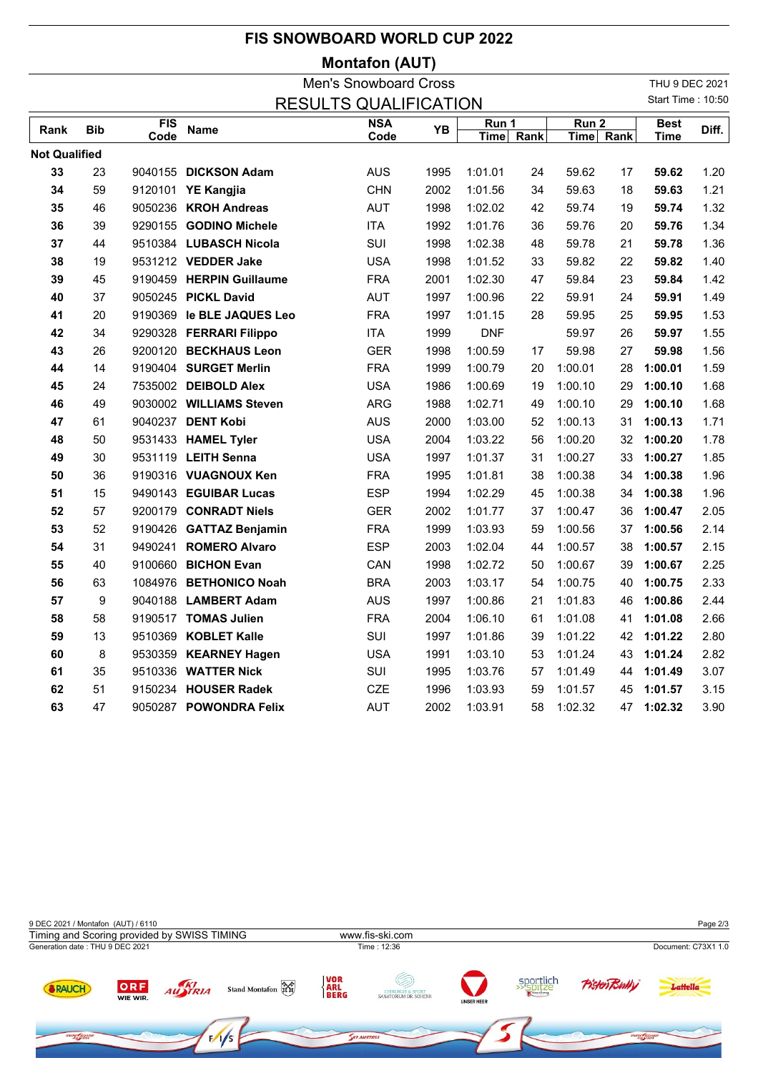|                                                   |            |             |                           | <b>FIS SNOWBOARD WORLD CUP 2022</b> |      |                      |      |                               |    |                            |       |
|---------------------------------------------------|------------|-------------|---------------------------|-------------------------------------|------|----------------------|------|-------------------------------|----|----------------------------|-------|
|                                                   |            |             |                           | <b>Montafon (AUT)</b>               |      |                      |      |                               |    |                            |       |
|                                                   |            |             |                           | <b>Men's Snowboard Cross</b>        |      |                      |      |                               |    | THU 9 DEC 2021             |       |
| Start Time: 10:50<br><b>RESULTS QUALIFICATION</b> |            |             |                           |                                     |      |                      |      |                               |    |                            |       |
| Rank                                              | <b>Bib</b> | FIS<br>Code | Name                      | <b>NSA</b><br>Code                  | YB   | Run 1<br><b>Time</b> | Rank | Run <sub>2</sub><br>Time Rank |    | <b>Best</b><br><b>Time</b> | Diff. |
| <b>Not Qualified</b>                              |            |             |                           |                                     |      |                      |      |                               |    |                            |       |
| 33                                                | 23         |             | 9040155 DICKSON Adam      | <b>AUS</b>                          | 1995 | 1:01.01              | 24   | 59.62                         | 17 | 59.62                      | 1.20  |
| 34                                                | 59         |             | 9120101 YE Kangjia        | <b>CHN</b>                          | 2002 | 1:01.56              | 34   | 59.63                         | 18 | 59.63                      | 1.21  |
| 35                                                | 46         |             | 9050236 KROH Andreas      | <b>AUT</b>                          | 1998 | 1:02.02              | 42   | 59.74                         | 19 | 59.74                      | 1.32  |
| 36                                                | 39         |             | 9290155 GODINO Michele    | <b>ITA</b>                          | 1992 | 1:01.76              | 36   | 59.76                         | 20 | 59.76                      | 1.34  |
| 37                                                | 44         |             | 9510384 LUBASCH Nicola    | SUI                                 | 1998 | 1:02.38              | 48   | 59.78                         | 21 | 59.78                      | 1.36  |
| 38                                                | 19         |             | 9531212 VEDDER Jake       | <b>USA</b>                          | 1998 | 1:01.52              | 33   | 59.82                         | 22 | 59.82                      | 1.40  |
| 39                                                | 45         |             | 9190459 HERPIN Guillaume  | <b>FRA</b>                          | 2001 | 1:02.30              | 47   | 59.84                         | 23 | 59.84                      | 1.42  |
| 40                                                | 37         |             | 9050245 PICKL David       | <b>AUT</b>                          | 1997 | 1:00.96              | 22   | 59.91                         | 24 | 59.91                      | 1.49  |
| 41                                                | 20         |             | 9190369 le BLE JAQUES Leo | <b>FRA</b>                          | 1997 | 1:01.15              | 28   | 59.95                         | 25 | 59.95                      | 1.53  |
| 42                                                | 34         |             | 9290328 FERRARI Filippo   | <b>ITA</b>                          | 1999 | <b>DNF</b>           |      | 59.97                         | 26 | 59.97                      | 1.55  |
| 43                                                | 26         |             | 9200120 BECKHAUS Leon     | <b>GER</b>                          | 1998 | 1:00.59              | 17   | 59.98                         | 27 | 59.98                      | 1.56  |
| 44                                                | 14         |             | 9190404 SURGET Merlin     | <b>FRA</b>                          | 1999 | 1:00.79              | 20   | 1:00.01                       | 28 | 1:00.01                    | 1.59  |
| 45                                                | 24         |             | 7535002 DEIBOLD Alex      | <b>USA</b>                          | 1986 | 1:00.69              | 19   | 1:00.10                       | 29 | 1:00.10                    | 1.68  |
| 46                                                | 49         |             | 9030002 WILLIAMS Steven   | ARG                                 | 1988 | 1:02.71              | 49   | 1:00.10                       | 29 | 1:00.10                    | 1.68  |
| 47                                                | 61         |             | 9040237 DENT Kobi         | <b>AUS</b>                          | 2000 | 1:03.00              | 52   | 1:00.13                       | 31 | 1:00.13                    | 1.71  |
| 48                                                | 50         |             | 9531433 HAMEL Tyler       | <b>USA</b>                          | 2004 | 1:03.22              | 56   | 1:00.20                       | 32 | 1:00.20                    | 1.78  |
| 49                                                | 30         |             | 9531119 LEITH Senna       | <b>USA</b>                          | 1997 | 1:01.37              | 31   | 1:00.27                       | 33 | 1:00.27                    | 1.85  |
| 50                                                | 36         |             | 9190316 VUAGNOUX Ken      | <b>FRA</b>                          | 1995 | 1:01.81              | 38   | 1:00.38                       | 34 | 1:00.38                    | 1.96  |
| 51                                                | 15         |             | 9490143 EGUIBAR Lucas     | <b>ESP</b>                          | 1994 | 1:02.29              | 45   | 1:00.38                       | 34 | 1:00.38                    | 1.96  |
| 52                                                | 57         |             | 9200179 CONRADT Niels     | <b>GER</b>                          | 2002 | 1:01.77              | 37   | 1:00.47                       | 36 | 1:00.47                    | 2.05  |
| 53                                                | 52         |             | 9190426 GATTAZ Benjamin   | <b>FRA</b>                          | 1999 | 1:03.93              | 59   | 1:00.56                       | 37 | 1:00.56                    | 2.14  |
| 54                                                | 31         |             | 9490241 ROMERO Alvaro     | <b>ESP</b>                          | 2003 | 1:02.04              | 44   | 1:00.57                       | 38 | 1:00.57                    | 2.15  |
| 55                                                | 40         |             | 9100660 BICHON Evan       | CAN                                 | 1998 | 1:02.72              | 50   | 1:00.67                       | 39 | 1:00.67                    | 2.25  |
| 56                                                | 63         |             | 1084976 BETHONICO Noah    | <b>BRA</b>                          | 2003 | 1:03.17              | 54   | 1:00.75                       | 40 | 1:00.75                    | 2.33  |
| 57                                                | 9          |             | 9040188 LAMBERT Adam      | <b>AUS</b>                          | 1997 | 1:00.86              | 21   | 1:01.83                       | 46 | 1:00.86                    | 2.44  |
| 58                                                | 58         |             | 9190517 TOMAS Julien      | <b>FRA</b>                          | 2004 | 1:06.10              | 61   | 1:01.08                       | 41 | 1:01.08                    | 2.66  |
| 59                                                | 13         |             | 9510369 KOBLET Kalle      | SUI                                 | 1997 | 1:01.86              | 39   | 1:01.22                       | 42 | 1:01.22                    | 2.80  |
| 60                                                | 8          |             | 9530359 KEARNEY Hagen     | <b>USA</b>                          | 1991 | 1:03.10              | 53   | 1:01.24                       | 43 | 1:01.24                    | 2.82  |
| 61                                                | 35         |             | 9510336 WATTER Nick       | SUI                                 | 1995 | 1:03.76              | 57   | 1:01.49                       | 44 | 1:01.49                    | 3.07  |
| 62                                                | 51         |             | 9150234 HOUSER Radek      | CZE                                 | 1996 | 1:03.93              | 59   | 1:01.57                       | 45 | 1:01.57                    | 3.15  |
| 63                                                | 47         |             | 9050287 POWONDRA Felix    | AUT                                 | 2002 | 1:03.91              | 58   | 1:02.32                       | 47 | 1:02.32                    | 3.90  |